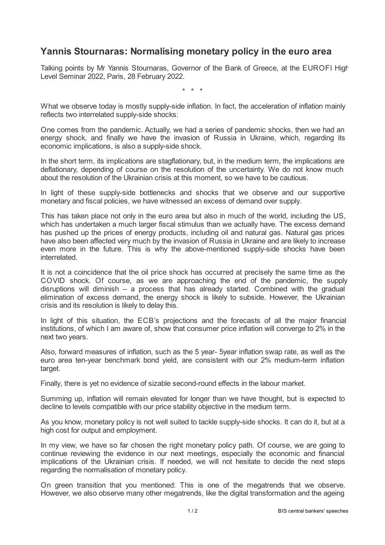## **Yannis Stournaras: Normalising monetary policy in the euro area**

Talking points by Mr Yannis Stournaras, Governor of the Bank of Greece, at the EUROFI High Level Seminar 2022, Paris, 28 February 2022.

\* \* \*

What we observe today is mostly supply-side inflation. In fact, the acceleration of inflation mainly reflects two interrelated supply-side shocks:

One comes from the pandemic. Actually, we had a series of pandemic shocks, then we had an energy shock, and finally we have the invasion of Russia in Ukraine, which, regarding its economic implications, is also a supply-side shock.

In the short term, its implications are stagflationary, but, in the medium term, the implications are deflationary, depending of course on the resolution of the uncertainty. We do not know much about the resolution of the Ukrainian crisis at this moment, so we have to be cautious.

In light of these supply-side bottlenecks and shocks that we observe and our supportive monetary and fiscal policies, we have witnessed an excess of demand over supply.

This has taken place not only in the euro area but also in much of the world, including the US, which has undertaken a much larger fiscal stimulus than we actually have. The excess demand has pushed up the prices of energy products, including oil and natural gas. Natural gas prices have also been affected very much by the invasion of Russia in Ukraine and are likely to increase even more in the future. This is why the above-mentioned supply-side shocks have been interrelated.

It is not a coincidence that the oil price shock has occurred at precisely the same time as the COVID shock. Of course, as we are approaching the end of the pandemic, the supply disruptions will diminish – a process that has already started. Combined with the gradual elimination of excess demand, the energy shock is likely to subside. However, the Ukrainian crisis and its resolution is likely to delay this.

In light of this situation, the ECB's projections and the forecasts of all the major financial institutions, of which I am aware of, show that consumer price inflation will converge to 2% in the next two years.

Also, forward measures of inflation, such as the 5 year- 5year inflation swap rate, as well as the euro area ten-year benchmark bond yield, are consistent with our 2% medium-term inflation target.

Finally, there is yet no evidence of sizable second-round effects in the labour market.

Summing up, inflation will remain elevated for longer than we have thought, but is expected to decline to levels compatible with our price stability objective in the medium term.

As you know, monetary policy is not well suited to tackle supply-side shocks. It can do it, but at a high cost for output and employment.

In my view, we have so far chosen the right monetary policy path. Of course, we are going to continue reviewing the evidence in our next meetings, especially the economic and financial implications of the Ukrainian crisis. If needed, we will not hesitate to decide the next steps regarding the normalisation of monetary policy.

On green transition that you mentioned: This is one of the megatrends that we observe. However, we also observe many other megatrends, like the digital transformation and the ageing